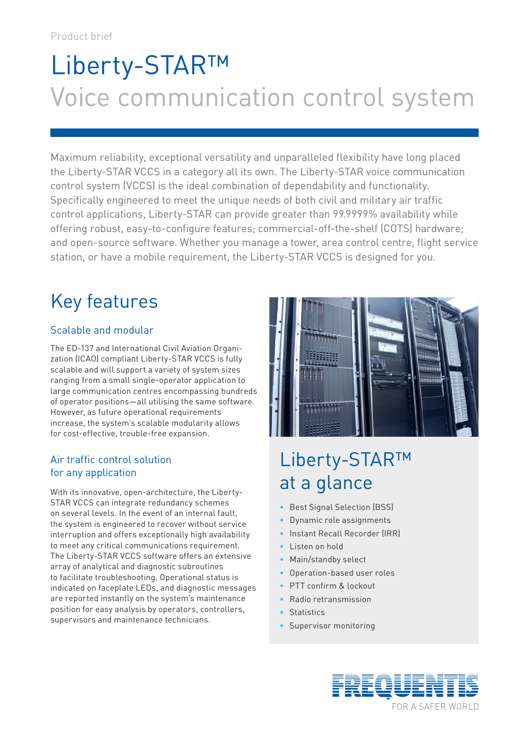# Liberty-STAR™ Voice communication control system

Maximum reliability, exceptional versatility and unparalleled flexibility have long placed the Liberty-STAR VCCS in a category all its own. The Liberty-STAR voice communication control system (VCCS) is the ideal combination of dependability and functionality. Specifically engineered to meet the unique needs of both civil and military air traffic control applications, Liberty-STAR can provide greater than 99.9999% availability while offering robust, easy-to-configure features; commercial-off-the-shelf (COTS) hardware; and open-source software. Whether you manage a tower, area control centre, flight service station, or have a mobile requirement, the Liberty-STAR VCCS is designed for you.

# Key features

### Scalable and modular

The ED-137 and International Civil Aviation Organization (ICAO) compliant Liberty-STAR VCCS is fully scalable and will support a variety of system sizes ranging from a small single-operator application to large communication centres encompassing hundreds of operator positions—all utilising the same software. However, as future operational requirements increase, the system's scalable modularity allows for cost-effective, trouble-free expansion.

### Air traffic control solution for any application

With its innovative, open-architecture, the Liberty-STAR VCCS can integrate redundancy schemes on several levels. In the event of an internal fault, the system is engineered to recover without service interruption and offers exceptionally high availability to meet any critical communications requirement. The Liberty-STAR VCCS software offers an extensive array of analytical and diagnostic subroutines to facilitate troubleshooting. Operational status is indicated on faceplate LEDs, and diagnostic messages are reported instantly on the system's maintenance position for easy analysis by operators, controllers, supervisors and maintenance technicians.



## Liberty-STAR™ at a glance

- Best Signal Selection (BSS)
- Dynamic role assignments
- Instant Recall Recorder (IRR)
- Listen on hold
- Main/standby select
- Operation-based user roles
- PTT confirm & lockout
- Radio retransmission
- **Statistics**
- Supervisor monitoring